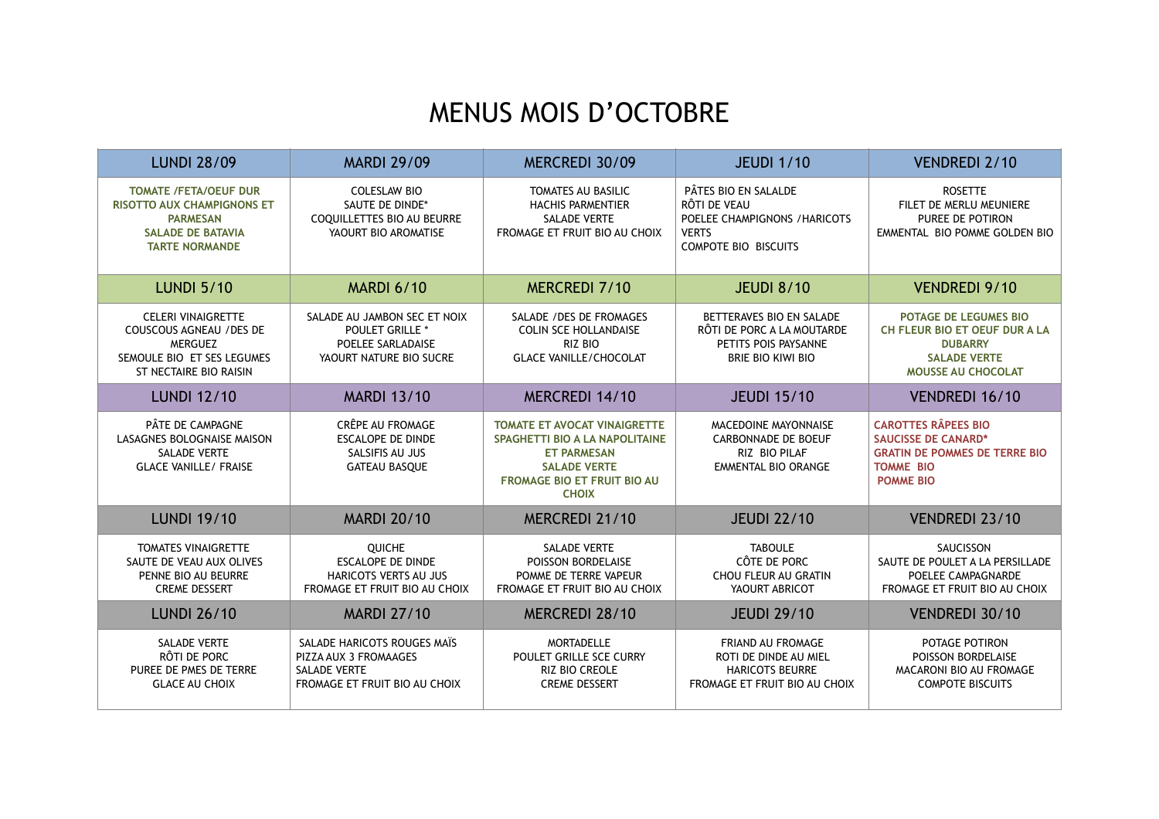## MENUS MOIS D'OCTOBRE

| <b>LUNDI 28/09</b>                                                                                                                        | <b>MARDI 29/09</b>                                                                                           | MERCREDI 30/09                                                                                                                                                           | <b>JEUDI 1/10</b>                                                                                                    | <b>VENDREDI 2/10</b>                                                                                                                     |
|-------------------------------------------------------------------------------------------------------------------------------------------|--------------------------------------------------------------------------------------------------------------|--------------------------------------------------------------------------------------------------------------------------------------------------------------------------|----------------------------------------------------------------------------------------------------------------------|------------------------------------------------------------------------------------------------------------------------------------------|
| <b>TOMATE /FETA/OEUF DUR</b><br><b>RISOTTO AUX CHAMPIGNONS ET</b><br><b>PARMESAN</b><br><b>SALADE DE BATAVIA</b><br><b>TARTE NORMANDE</b> | <b>COLESLAW BIO</b><br>SAUTE DE DINDE*<br>COQUILLETTES BIO AU BEURRE<br>YAOURT BIO AROMATISE                 | <b>TOMATES AU BASILIC</b><br><b>HACHIS PARMENTIER</b><br><b>SALADE VERTE</b><br>FROMAGE ET FRUIT BIO AU CHOIX                                                            | PÂTES BIO EN SALALDE<br>RÔTI DE VEAU<br>POELEE CHAMPIGNONS / HARICOTS<br><b>VERTS</b><br><b>COMPOTE BIO BISCUITS</b> | <b>ROSETTE</b><br>FILET DE MERLU MEUNIERE<br>PUREE DE POTIRON<br>EMMENTAL BIO POMME GOLDEN BIO                                           |
| <b>LUNDI 5/10</b>                                                                                                                         | <b>MARDI 6/10</b>                                                                                            | MERCREDI 7/10                                                                                                                                                            | <b>JEUDI 8/10</b>                                                                                                    | <b>VENDREDI 9/10</b>                                                                                                                     |
| <b>CELERI VINAIGRETTE</b><br><b>COUSCOUS AGNEAU / DES DE</b><br><b>MERGUEZ</b><br>SEMOULE BIO ET SES LEGUMES<br>ST NECTAIRE BIO RAISIN    | SALADE AU JAMBON SEC ET NOIX<br><b>POULET GRILLE *</b><br>POELEE SARLADAISE<br>YAOURT NATURE BIO SUCRE       | SALADE / DES DE FROMAGES<br><b>COLIN SCE HOLLANDAISE</b><br>RIZ BIO<br><b>GLACE VANILLE/CHOCOLAT</b>                                                                     | BETTERAVES BIO EN SALADE<br>RÔTI DE PORC A LA MOUTARDE<br>PETITS POIS PAYSANNE<br><b>BRIE BIO KIWI BIO</b>           | <b>POTAGE DE LEGUMES BIO</b><br>CH FLEUR BIO ET OEUF DUR A LA<br><b>DUBARRY</b><br><b>SALADE VERTE</b><br>MOUSSE AU CHOCOLAT             |
| <b>LUNDI 12/10</b>                                                                                                                        | <b>MARDI 13/10</b>                                                                                           | MERCREDI 14/10                                                                                                                                                           | <b>JEUDI 15/10</b>                                                                                                   | VENDREDI 16/10                                                                                                                           |
| PÂTE DE CAMPAGNE<br>LASAGNES BOLOGNAISE MAISON<br><b>SALADE VERTE</b><br><b>GLACE VANILLE/ FRAISE</b>                                     | CRÊPE AU FROMAGE<br><b>ESCALOPE DE DINDE</b><br>SALSIFIS AU JUS<br><b>GATEAU BASQUE</b>                      | <b>TOMATE ET AVOCAT VINAIGRETTE</b><br>SPAGHETTI BIO A LA NAPOLITAINE<br><b>ET PARMESAN</b><br><b>SALADE VERTE</b><br><b>FROMAGE BIO ET FRUIT BIO AU</b><br><b>CHOIX</b> | MACEDOINE MAYONNAISE<br><b>CARBONNADE DE BOEUF</b><br>RIZ BIO PILAF<br>EMMENTAL BIO ORANGE                           | <b>CAROTTES RÂPEES BIO</b><br><b>SAUCISSE DE CANARD*</b><br><b>GRATIN DE POMMES DE TERRE BIO</b><br><b>TOMME BIO</b><br><b>POMME BIO</b> |
| <b>LUNDI 19/10</b>                                                                                                                        | <b>MARDI 20/10</b>                                                                                           | MERCREDI 21/10                                                                                                                                                           | <b>JEUDI 22/10</b>                                                                                                   | <b>VENDREDI 23/10</b>                                                                                                                    |
| <b>TOMATES VINAIGRETTE</b><br>SAUTE DE VEAU AUX OLIVES<br>PENNE BIO AU BEURRE<br><b>CREME DESSERT</b>                                     | QUICHE<br><b>ESCALOPE DE DINDE</b><br><b>HARICOTS VERTS AU JUS</b><br>FROMAGE ET FRUIT BIO AU CHOIX          | <b>SALADE VERTE</b><br>POISSON BORDELAISE<br>POMME DE TERRE VAPEUR<br>FROMAGE ET FRUIT BIO AU CHOIX                                                                      | <b>TABOULE</b><br>CÔTE DE PORC<br>CHOU FLEUR AU GRATIN<br>YAOURT ABRICOT                                             | SAUCISSON<br>SAUTE DE POULET A LA PERSILLADE<br>POELEE CAMPAGNARDE<br>FROMAGE ET FRUIT BIO AU CHOIX                                      |
| <b>LUNDI 26/10</b>                                                                                                                        | <b>MARDI 27/10</b>                                                                                           | MERCREDI 28/10                                                                                                                                                           | <b>JEUDI 29/10</b>                                                                                                   | VENDREDI 30/10                                                                                                                           |
| <b>SALADE VERTE</b><br>RÔTI DE PORC<br>PUREE DE PMES DE TERRE<br><b>GLACE AU CHOIX</b>                                                    | SALADE HARICOTS ROUGES MAIS<br>PIZZA AUX 3 FROMAAGES<br><b>SALADE VERTE</b><br>FROMAGE ET FRUIT BIO AU CHOIX | <b>MORTADELLE</b><br>POULET GRILLE SCE CURRY<br><b>RIZ BIO CREOLE</b><br><b>CREME DESSERT</b>                                                                            | <b>FRIAND AU FROMAGE</b><br>ROTI DE DINDE AU MIEL<br><b>HARICOTS BEURRE</b><br>FROMAGE ET FRUIT BIO AU CHOIX         | POTAGE POTIRON<br>POISSON BORDELAISE<br>MACARONI BIO AU FROMAGE<br><b>COMPOTE BISCUITS</b>                                               |